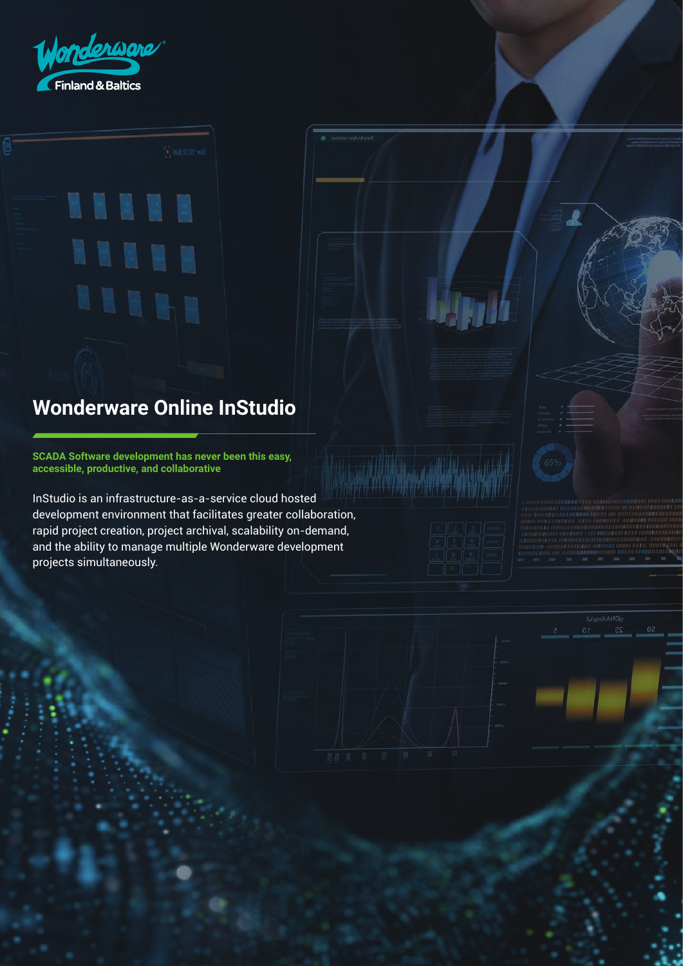

. . . . .

# **Wonderware Online InStudio**

**SCADA Software development has never been this easy, accessible, productive, and collaborative**

InStudio is an infrastructure-as-a-service cloud hosted development environment that facilitates greater collaboration, rapid project creation, project archival, scalability on-demand, and the ability to manage multiple Wonderware development projects simultaneously.





 $\overline{\mathcal{L}}$